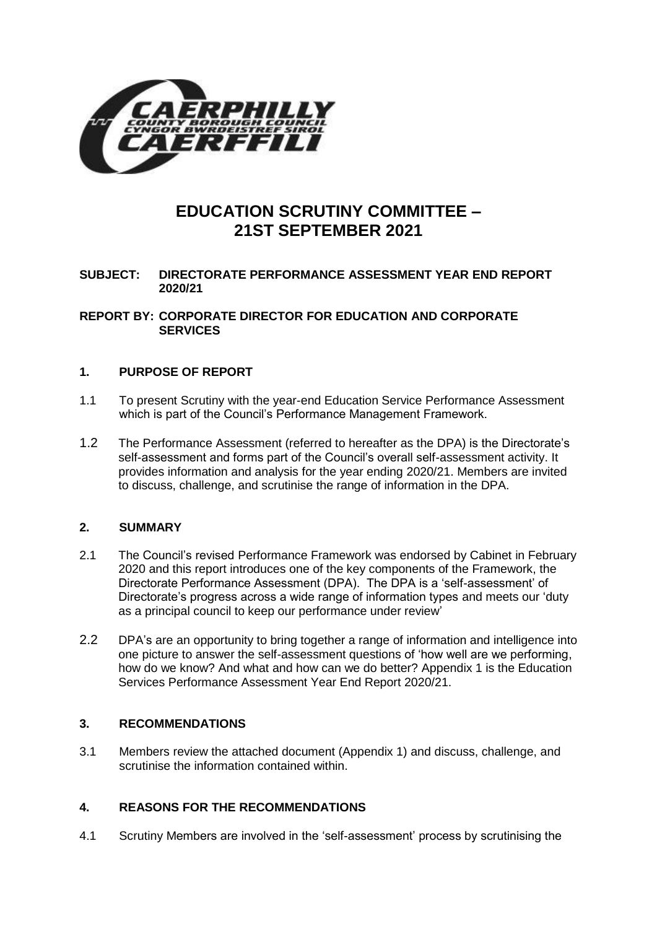

# **EDUCATION SCRUTINY COMMITTEE – 21ST SEPTEMBER 2021**

# **SUBJECT: DIRECTORATE PERFORMANCE ASSESSMENT YEAR END REPORT 2020/21**

#### **REPORT BY: CORPORATE DIRECTOR FOR EDUCATION AND CORPORATE SERVICES**

#### **1. PURPOSE OF REPORT**

- 1.1 To present Scrutiny with the year-end Education Service Performance Assessment which is part of the Council's Performance Management Framework.
- 1.2 The Performance Assessment (referred to hereafter as the DPA) is the Directorate's self-assessment and forms part of the Council's overall self-assessment activity. It provides information and analysis for the year ending 2020/21. Members are invited to discuss, challenge, and scrutinise the range of information in the DPA.

# **2. SUMMARY**

- 2.1 The Council's revised Performance Framework was endorsed by Cabinet in February 2020 and this report introduces one of the key components of the Framework, the Directorate Performance Assessment (DPA). The DPA is a 'self-assessment' of Directorate's progress across a wide range of information types and meets our 'duty as a principal council to keep our performance under review'
- 2.2 DPA's are an opportunity to bring together a range of information and intelligence into one picture to answer the self-assessment questions of 'how well are we performing, how do we know? And what and how can we do better? Appendix 1 is the Education Services Performance Assessment Year End Report 2020/21.

# **3. RECOMMENDATIONS**

3.1 Members review the attached document (Appendix 1) and discuss, challenge, and scrutinise the information contained within.

# **4. REASONS FOR THE RECOMMENDATIONS**

4.1 Scrutiny Members are involved in the 'self-assessment' process by scrutinising the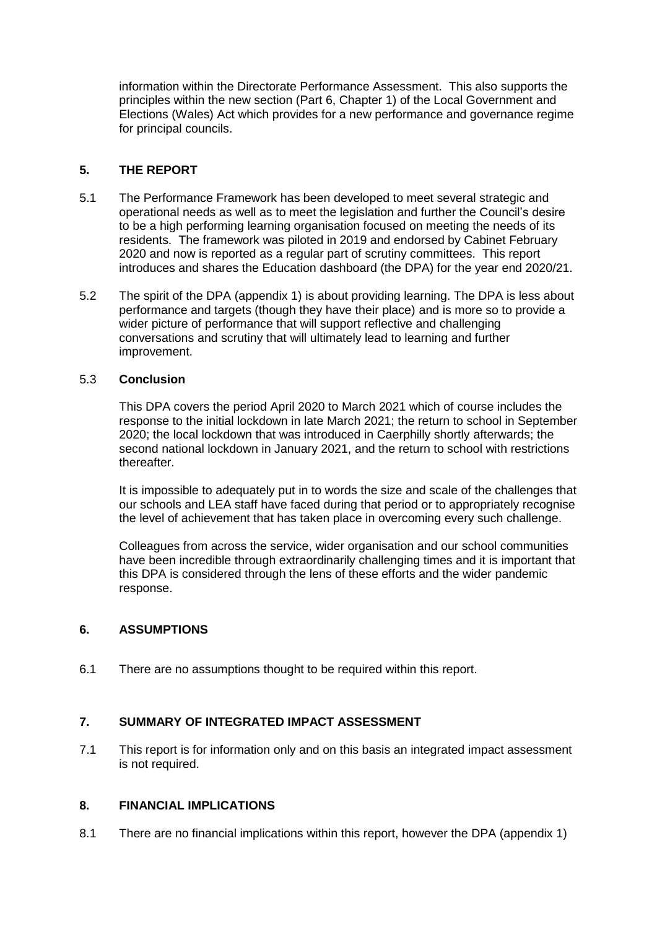information within the Directorate Performance Assessment. This also supports the principles within the new section (Part 6, Chapter 1) of the Local Government and Elections (Wales) Act which provides for a new performance and governance regime for principal councils.

# **5. THE REPORT**

- 5.1 The Performance Framework has been developed to meet several strategic and operational needs as well as to meet the legislation and further the Council's desire to be a high performing learning organisation focused on meeting the needs of its residents. The framework was piloted in 2019 and endorsed by Cabinet February 2020 and now is reported as a regular part of scrutiny committees. This report introduces and shares the Education dashboard (the DPA) for the year end 2020/21.
- 5.2 The spirit of the DPA (appendix 1) is about providing learning. The DPA is less about performance and targets (though they have their place) and is more so to provide a wider picture of performance that will support reflective and challenging conversations and scrutiny that will ultimately lead to learning and further improvement.

#### 5.3 **Conclusion**

This DPA covers the period April 2020 to March 2021 which of course includes the response to the initial lockdown in late March 2021; the return to school in September 2020; the local lockdown that was introduced in Caerphilly shortly afterwards; the second national lockdown in January 2021, and the return to school with restrictions thereafter.

It is impossible to adequately put in to words the size and scale of the challenges that our schools and LEA staff have faced during that period or to appropriately recognise the level of achievement that has taken place in overcoming every such challenge.

Colleagues from across the service, wider organisation and our school communities have been incredible through extraordinarily challenging times and it is important that this DPA is considered through the lens of these efforts and the wider pandemic response.

#### **6. ASSUMPTIONS**

6.1 There are no assumptions thought to be required within this report.

# **7. SUMMARY OF INTEGRATED IMPACT ASSESSMENT**

7.1 This report is for information only and on this basis an integrated impact assessment is not required.

#### **8. FINANCIAL IMPLICATIONS**

8.1 There are no financial implications within this report, however the DPA (appendix 1)